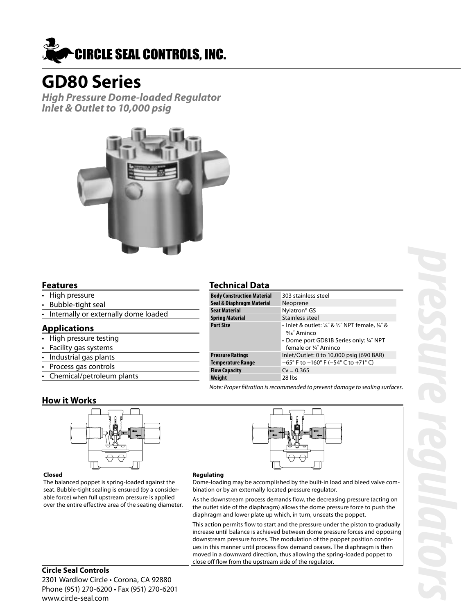

# **GD80 Series**

**High Pressure Dome-loaded Regulator Inlet & Outlet to 10,000 psig**



#### **Features**

- High pressure
- Bubble-tight seal
- Internally or externally dome loaded

## **Applications**

- High pressure testing
- Facility gas systems
- Industrial gas plants
- Process gas controls
- Chemical/petroleum plants

## **Technical Data**

| 303 stainless steel                                                                                                                           |
|-----------------------------------------------------------------------------------------------------------------------------------------------|
| Neoprene                                                                                                                                      |
| Nylatron <sup>®</sup> GS                                                                                                                      |
| Stainless steel                                                                                                                               |
| • Inlet & outlet: 1/4" & 1/2" NPT female, 1/4" &<br>$\frac{9}{16}$ Aminco<br>• Dome port GD81B Series only: 1/4" NPT<br>female or 1/4" Aminco |
| Inlet/Outlet: 0 to 10,000 psig (690 BAR)                                                                                                      |
| $-65^{\circ}$ F to +160° F (-54° C to +71° C)                                                                                                 |
| $Cv = 0.365$                                                                                                                                  |
| 28 lbs                                                                                                                                        |
|                                                                                                                                               |

Note: Proper filtration is recommended to prevent damage to sealing surfaces.

## **How it Works**



#### **Closed**

The balanced poppet is spring-loaded against the seat. Bubble-tight sealing is ensured (by a considerable force) when full upstream pressure is applied over the entire effective area of the seating diameter.



#### **Regulating**

Dome-loading may be accomplished by the built-in load and bleed valve combination or by an externally located pressure regulator.

As the downstream process demands flow, the decreasing pressure (acting on the outlet side of the diaphragm) allows the dome pressure force to push the diaphragm and lower plate up which, in turn, unseats the poppet.

This action permits flow to start and the pressure under the piston to gradually increase until balance is achieved between dome pressure forces and opposing downstream pressure forces. The modulation of the poppet position continues in this manner until process flow demand ceases. The diaphragm is then moved in a downward direction, thus allowing the spring-loaded poppet to close off flow from the upstream side of the regulator.

## **Circle Seal Controls**

2301 Wardlow Circle • Corona, CA 92880 Phone (951) 270-6200 • Fax (951) 270-6201 www.circle-seal.com